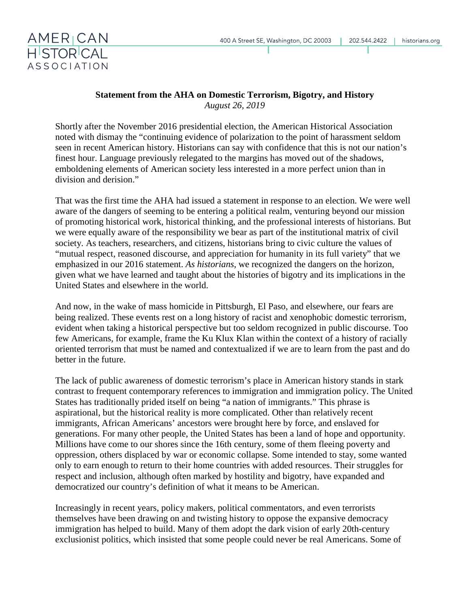

## **Statement from the AHA on Domestic Terrorism, Bigotry, and History** *August 26, 2019*

Shortly after the November 2016 presidential election, the American Historical Association noted with dismay the "continuing evidence of polarization to the point of harassment seldom seen in recent American history. Historians can say with confidence that this is not our nation's finest hour. Language previously relegated to the margins has moved out of the shadows, emboldening elements of American society less interested in a more perfect union than in division and derision."

That was the first time the AHA had issued a statement in response to an election. We were well aware of the dangers of seeming to be entering a political realm, venturing beyond our mission of promoting historical work, historical thinking, and the professional interests of historians. But we were equally aware of the responsibility we bear as part of the institutional matrix of civil society. As teachers, researchers, and citizens, historians bring to civic culture the values of "mutual respect, reasoned discourse, and appreciation for humanity in its full variety" that we emphasized in our 2016 statement. *As historians*, we recognized the dangers on the horizon, given what we have learned and taught about the histories of bigotry and its implications in the United States and elsewhere in the world.

And now, in the wake of mass homicide in Pittsburgh, El Paso, and elsewhere, our fears are being realized. These events rest on a long history of racist and xenophobic domestic terrorism, evident when taking a historical perspective but too seldom recognized in public discourse. Too few Americans, for example, frame the Ku Klux Klan within the context of a history of racially oriented terrorism that must be named and contextualized if we are to learn from the past and do better in the future.

The lack of public awareness of domestic terrorism's place in American history stands in stark contrast to frequent contemporary references to immigration and immigration policy. The United States has traditionally prided itself on being "a nation of immigrants." This phrase is aspirational, but the historical reality is more complicated. Other than relatively recent immigrants, African Americans' ancestors were brought here by force, and enslaved for generations. For many other people, the United States has been a land of hope and opportunity. Millions have come to our shores since the 16th century, some of them fleeing poverty and oppression, others displaced by war or economic collapse. Some intended to stay, some wanted only to earn enough to return to their home countries with added resources. Their struggles for respect and inclusion, although often marked by hostility and bigotry, have expanded and democratized our country's definition of what it means to be American.

Increasingly in recent years, policy makers, political commentators, and even terrorists themselves have been drawing on and twisting history to oppose the expansive democracy immigration has helped to build. Many of them adopt the dark vision of early 20th-century exclusionist politics, which insisted that some people could never be real Americans. Some of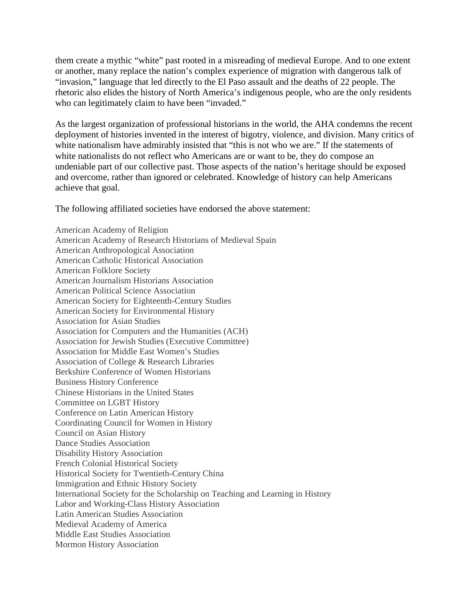them create a mythic "white" past rooted in a misreading of medieval Europe. And to one extent or another, many replace the nation's complex experience of migration with dangerous talk of "invasion," language that led directly to the El Paso assault and the deaths of 22 people. The rhetoric also elides the history of North America's indigenous people, who are the only residents who can legitimately claim to have been "invaded."

As the largest organization of professional historians in the world, the AHA condemns the recent deployment of histories invented in the interest of bigotry, violence, and division. Many critics of white nationalism have admirably insisted that "this is not who we are." If the statements of white nationalists do not reflect who Americans are or want to be, they do compose an undeniable part of our collective past. Those aspects of the nation's heritage should be exposed and overcome, rather than ignored or celebrated. Knowledge of history can help Americans achieve that goal.

The following affiliated societies have endorsed the above statement:

American Academy of Religion American Academy of Research Historians of Medieval Spain American Anthropological Association American Catholic Historical Association American Folklore Society American Journalism Historians Association American Political Science Association American Society for Eighteenth-Century Studies American Society for Environmental History Association for Asian Studies Association for Computers and the Humanities (ACH) Association for Jewish Studies (Executive Committee) Association for Middle East Women's Studies Association of College & Research Libraries Berkshire Conference of Women Historians Business History Conference Chinese Historians in the United States Committee on LGBT History Conference on Latin American History Coordinating Council for Women in History Council on Asian History Dance Studies Association Disability History Association French Colonial Historical Society Historical Society for Twentieth-Century China Immigration and Ethnic History Society International Society for the Scholarship on Teaching and Learning in History Labor and Working-Class History Association Latin American Studies Association Medieval Academy of America Middle East Studies Association Mormon History Association